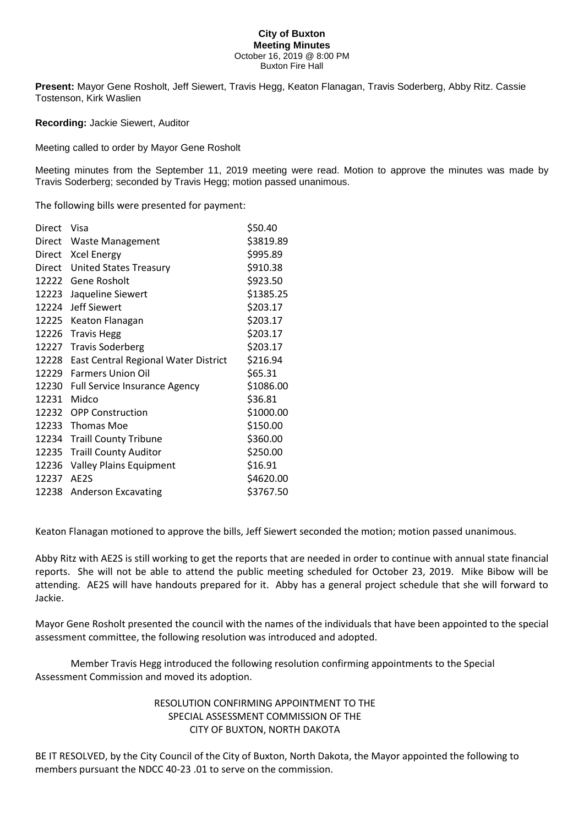## **City of Buxton Meeting Minutes** October 16, 2019 @ 8:00 PM Buxton Fire Hall

**Present:** Mayor Gene Rosholt, Jeff Siewert, Travis Hegg, Keaton Flanagan, Travis Soderberg, Abby Ritz. Cassie Tostenson, Kirk Waslien

**Recording:** Jackie Siewert, Auditor

Meeting called to order by Mayor Gene Rosholt

Meeting minutes from the September 11, 2019 meeting were read. Motion to approve the minutes was made by Travis Soderberg; seconded by Travis Hegg; motion passed unanimous.

The following bills were presented for payment:

| Visa                                        | \$50.40   |
|---------------------------------------------|-----------|
| <b>Waste Management</b>                     | \$3819.89 |
| <b>Xcel Energy</b>                          | \$995.89  |
| <b>United States Treasury</b>               | \$910.38  |
| 12222<br>Gene Rosholt                       | \$923.50  |
| Jaqueline Siewert                           | \$1385.25 |
| <b>Jeff Siewert</b>                         | \$203.17  |
| Keaton Flanagan                             | \$203.17  |
| <b>Travis Hegg</b>                          | \$203.17  |
| <b>Travis Soderberg</b>                     | \$203.17  |
| <b>East Central Regional Water District</b> | \$216.94  |
| <b>Farmers Union Oil</b>                    | \$65.31   |
| <b>Full Service Insurance Agency</b>        | \$1086.00 |
| Midco                                       | \$36.81   |
| <b>OPP Construction</b>                     | \$1000.00 |
| <b>Thomas Moe</b>                           | \$150.00  |
| <b>Traill County Tribune</b>                | \$360.00  |
| <b>Traill County Auditor</b>                | \$250.00  |
| <b>Valley Plains Equipment</b>              | \$16.91   |
| AE2S                                        | \$4620.00 |
| <b>Anderson Excavating</b>                  | \$3767.50 |
|                                             |           |

Keaton Flanagan motioned to approve the bills, Jeff Siewert seconded the motion; motion passed unanimous.

Abby Ritz with AE2S is still working to get the reports that are needed in order to continue with annual state financial reports. She will not be able to attend the public meeting scheduled for October 23, 2019. Mike Bibow will be attending. AE2S will have handouts prepared for it. Abby has a general project schedule that she will forward to Jackie.

Mayor Gene Rosholt presented the council with the names of the individuals that have been appointed to the special assessment committee, the following resolution was introduced and adopted.

Member Travis Hegg introduced the following resolution confirming appointments to the Special Assessment Commission and moved its adoption.

> RESOLUTION CONFIRMING APPOINTMENT TO THE SPECIAL ASSESSMENT COMMISSION OF THE CITY OF BUXTON, NORTH DAKOTA

BE IT RESOLVED, by the City Council of the City of Buxton, North Dakota, the Mayor appointed the following to members pursuant the NDCC 40-23 .01 to serve on the commission.